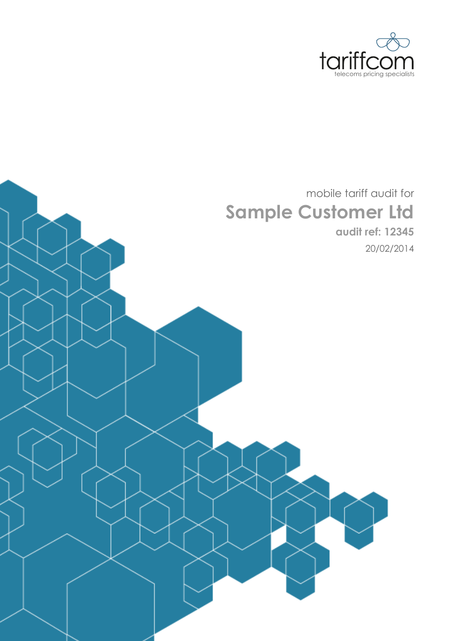

# mobile tariff audit for **Sample Customer Ltd**

**audit ref: 12345** 20/02/2014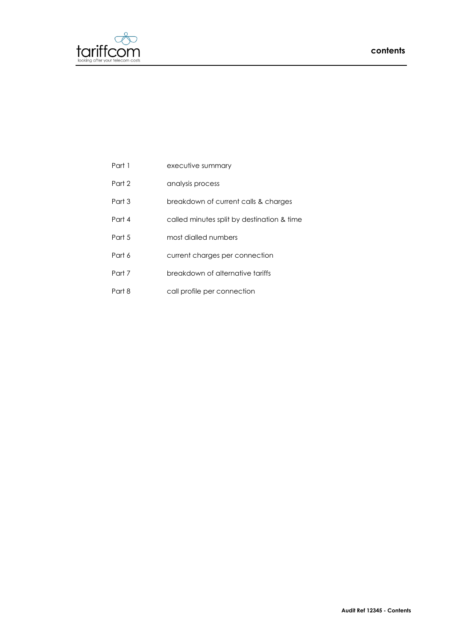

| Part 1 | executive summary |
|--------|-------------------|
|        |                   |

- Part 2 analysis process
- Part 3 breakdown of current calls & charges
- Part 4 called minutes split by destination & time
- Part 5 most dialled numbers
- Part 6 current charges per connection
- Part 7 breakdown of alternative tariffs
- Part 8 call profile per connection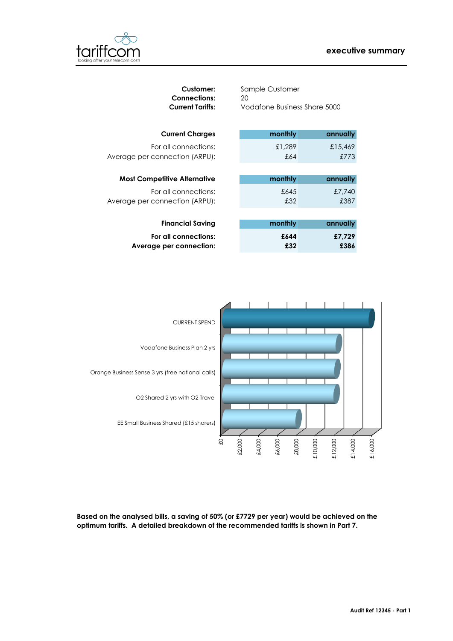## **executive summary**



| <b>Customer:</b><br><b>Connections:</b><br><b>Current Tariffs:</b> | Sample Customer<br>20<br>Vodafone Business Share 5000 |          |
|--------------------------------------------------------------------|-------------------------------------------------------|----------|
| <b>Current Charges</b>                                             | monthly                                               | annually |
| For all connections:                                               | £1,289                                                | £15,469  |
| Average per connection (ARPU):                                     | £64                                                   | £773     |
|                                                                    |                                                       |          |
| <b>Most Competitive Alternative</b>                                | monthly                                               | annually |
| For all connections:                                               | £645                                                  | £7,740   |
| Average per connection (ARPU):                                     | £32                                                   | £387     |
|                                                                    |                                                       |          |
| <b>Financial Saving</b>                                            | monthly                                               | annually |
| For all connections:                                               | £644                                                  | £7,729   |
| Average per connection:                                            | £32                                                   | £386     |
|                                                                    |                                                       |          |
|                                                                    |                                                       |          |
|                                                                    |                                                       |          |



**Based on the analysed bills, a saving of 50% (or £7729 per year) would be achieved on the**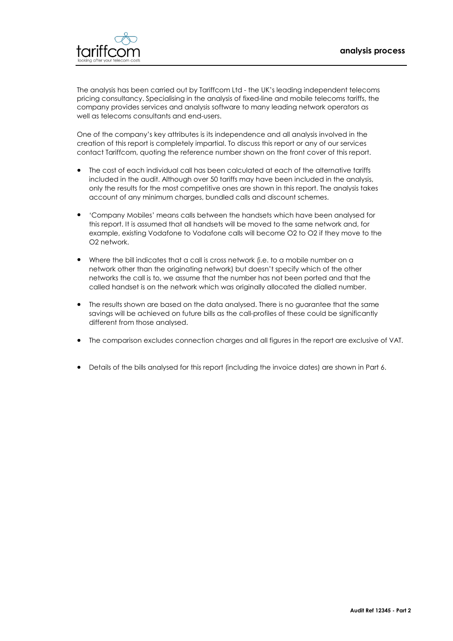

The analysis has been carried out by Tariffcom Ltd - the UK's leading independent telecoms pricing consultancy. Specialising in the analysis of fixed-line and mobile telecoms tariffs, the company provides services and analysis software to many leading network operators as well as telecoms consultants and end-users.

One of the company's key attributes is its independence and all analysis involved in the creation of this report is completely impartial. To discuss this report or any of our services contact Tariffcom, quoting the reference number shown on the front cover of this report.

- included in the audit. Although over 50 tariffs may have been included in the analysis, only the results for the most competitive ones are shown in this report. The analysis takes account of any minimum charges, bundled calls and discount schemes. The cost of each individual call has been calculated at each of the alternative tariffs
- $\bullet$ this report. It is assumed that all handsets will be moved to the same network and, for example, existing Vodafone to Vodafone calls will become O2 to O2 if they move to the O2 network. 'Company Mobiles' means calls between the handsets which have been analysed for
- called handset is on the network which was originally allocated the dialled number. Where the bill indicates that a call is cross network (i.e. to a mobile number on a network other than the originating network) but doesn't specify which of the other networks the call is to, we assume that the number has not been ported and that the
- $\bullet$ The results shown are based on the data analysed. There is no guarantee that the same savings will be achieved on future bills as the call-profiles of these could be significantly different from those analysed.
- The comparison excludes connection charges and all figures in the report are exclusive of VAT.
- Details of the bills analysed for this report (including the invoice dates) are shown in Part 6.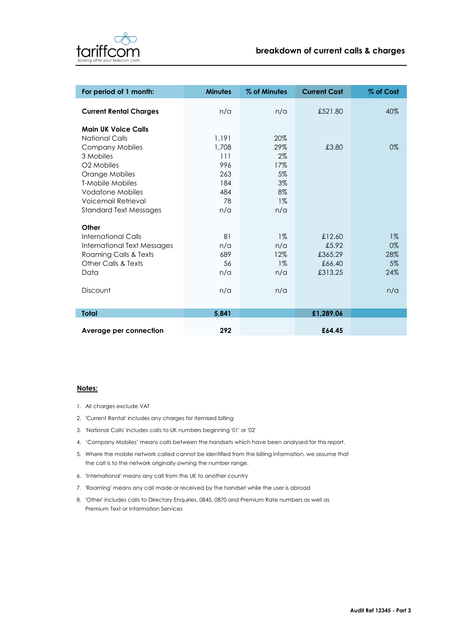

| For period of 1 month:        | <b>Minutes</b> | % of Minutes | <b>Current Cost</b> | % of Cost |
|-------------------------------|----------------|--------------|---------------------|-----------|
| <b>Current Rental Charges</b> | n/a            | n/a          | £521.80             | 40%       |
| <b>Main UK Voice Calls</b>    |                |              |                     |           |
| <b>National Calls</b>         | 1.191          | 20%          |                     |           |
| <b>Company Mobiles</b>        | 1,708          | 29%          | £3.80               | 0%        |
| 3 Mobiles                     | 111            | 2%           |                     |           |
| O <sub>2</sub> Mobiles        | 996            | 17%          |                     |           |
| Orange Mobiles                | 263            | $5\%$        |                     |           |
| <b>T-Mobile Mobiles</b>       | 184            | 3%           |                     |           |
| <b>Vodafone Mobiles</b>       | 484            | 8%           |                     |           |
| Voicemail Retrieval           | 78             | $1\%$        |                     |           |
| <b>Standard Text Messages</b> | n/a            | n/a          |                     |           |
| Other                         |                |              |                     |           |
| <b>International Calls</b>    | 81             | $1\%$        | £12.60              | $1\%$     |
| International Text Messages   | n/a            | n/a          | £5.92               | 0%        |
| Roaming Calls & Texts         | 689            | 12%          | £365.29             | 28%       |
| Other Calls & Texts           | 56             | $1\%$        | £66.40              | 5%        |
| Data                          | n/a            | n/a          | £313.25             | 24%       |
| Discount                      | n/a            | n/a          |                     | n/a       |
|                               |                |              |                     |           |
| <b>Total</b>                  | 5,841          |              | £1,289.06           |           |
| Average per connection        | 292            |              | £64.45              |           |

## **Notes:**

- 1. All charges exclude VAT
- 2. 'Current Rental' includes any charges for itemised billing
- 3. 'National Calls' includes calls to UK numbers beginning '01' or '02'
- 4. 'Company Mobiles' means calls between the handsets which have been analysed for this report.
- 5. Where the mobile network called cannot be identified from the billing information, we assume that the call is to the network originally owning the number range.
- 6. 'International' means any call from the UK to another country
- 7. 'Roaming' means any call made or received by the handset while the user is abroad
- 8. 'Other' includes calls to Directory Enquiries, 0845, 0870 and Premium Rate numbers as well as Premium Text or Information Services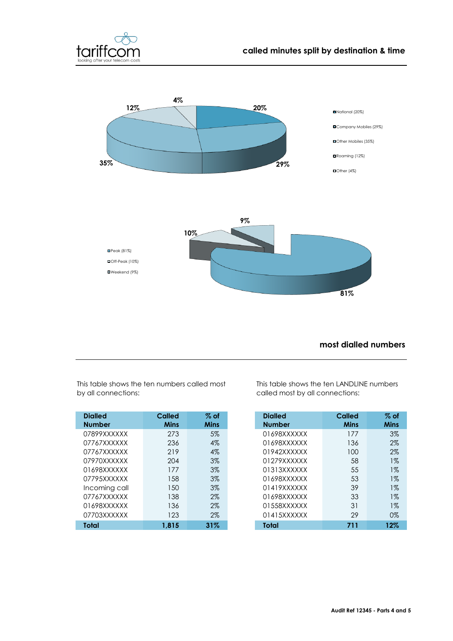



## **most dialled numbers**

**81%**

| <b>Dialled</b> | Called      | $%$ of      | <b>Dialled</b> | <b>Called</b> | $\%$ of     |
|----------------|-------------|-------------|----------------|---------------|-------------|
| <b>Number</b>  | <b>Mins</b> | <b>Mins</b> | <b>Number</b>  | <b>Mins</b>   | <b>Mins</b> |
| 07899XXXXXX    | 273         | 5%          | 01698XXXXXX    | 177           | 3%          |
| 07767XXXXXX    | 236         | $4\%$       | 01698XXXXXX    | 136           | 2%          |
| 07767XXXXXX    | 219         | $4\%$       | 01942XXXXXX    | 100           | 2%          |
| 07970XXXXXX    | 204         | $3\%$       | 01279XXXXXX    | 58            | 1%          |
| 01698XXXXXX    | 177         | $3\%$       | 01313XXXXXX    | 55            | $1\%$       |
| 07795XXXXXX    | 158         | $3\%$       | 01698XXXXXX    | 53            | 1%          |
| Incoming call  | 150         | $3\%$       | 01419XXXXXX    | 39            | 1%          |
| 07767XXXXXX    | 138         | $2\%$       | 01698XXXXXX    | 33            | 1%          |
| 01698XXXXXX    | 136         | $2\%$       | 01558XXXXXX    | 31            | 1%          |
| 07703XXXXXX    | 123         | $2\%$       | 01415XXXXXX    | 29            | $0\%$       |
| <b>Total</b>   | 1,815       | 31%         | Total          | 711           | 12%         |

This table shows the ten numbers called most by all connections:

■Weekend (9%)

This table shows the ten LANDLINE numbers called most by all connections:

| <b>Dialled</b><br><b>Number</b> | <b>Called</b><br>Mins | $\%$ of<br>Mins |
|---------------------------------|-----------------------|-----------------|
| 01698XXXXXX                     | 177                   | $3\%$           |
| 01698XXXXXX                     | 136                   | $2\%$           |
| 01942XXXXXX                     | 100                   | $2\%$           |
| 01279XXXXXX                     | 58                    | $1\%$           |
| 01313XXXXXX                     | 55                    | $1\%$           |
| 01698XXXXXX                     | 53                    | $1\%$           |
| 01419XXXXXX                     | 39                    | $1\%$           |
| 01698XXXXXX                     | 33                    | $1\%$           |
| 01558XXXXXX                     | 31                    | $1\%$           |
| 01415XXXXXX                     | 29                    | 0%              |
| Total                           | 711                   | 12%             |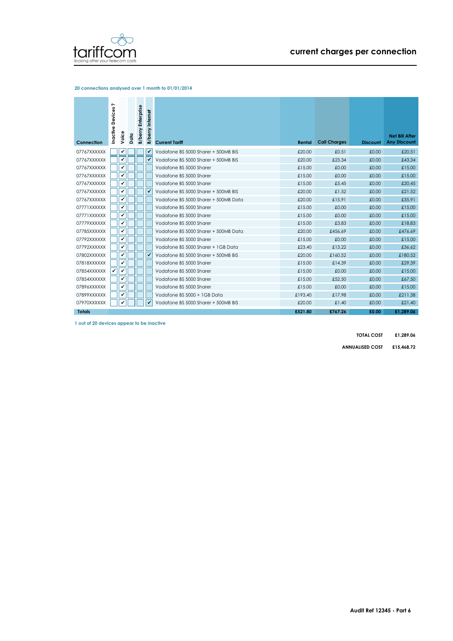

### **20 connections analysed over 1 month to 01/01/2014**

| Connection    | $\sim$<br>Inactive Devices | Voice | Data | <b>B/berry Enterprise</b> | <b>B/berry Internet</b> | <b>Current Tariff</b>                | Rental  | <b>Call Charges</b> | <b>Discount</b> | <b>Net Bill After</b><br><b>Any Discount</b> |
|---------------|----------------------------|-------|------|---------------------------|-------------------------|--------------------------------------|---------|---------------------|-----------------|----------------------------------------------|
| 07767XXXXXX   |                            | ✔     |      |                           |                         | Vodafone BS 5000 Sharer + 500MB BIS  | £20.00  | £0.51               | £0.00           | £20.51                                       |
|               |                            | ✔     |      |                           |                         |                                      |         |                     |                 |                                              |
| 07767XXXXXX   |                            | ✓     |      |                           |                         | Vodafone BS 5000 Sharer + 500MB BIS  | £20.00  | £23.34              | £0.00           | £43.34                                       |
| 07767XXXXXX   |                            |       |      |                           |                         | Vodafone BS 5000 Sharer              | £15.00  | £0.00               | £0.00           | £15.00                                       |
| 07767XXXXXX   |                            | ✔     |      |                           |                         | Vodafone BS 5000 Sharer              | £15.00  | £0.00               | £0.00           | £15.00                                       |
| 07767XXXXXX   |                            | ✔     |      |                           |                         | Vodafone BS 5000 Sharer              | £15.00  | £5.45               | £0.00           | £20.45                                       |
| 07767XXXXXX   |                            | ✔     |      |                           |                         | Vodafone BS 5000 Sharer + 500MB BIS  | £20.00  | £1.52               | £0.00           | £21.52                                       |
| 07767XXXXXX   |                            | ✓     |      |                           |                         | Vodafone BS 5000 Sharer + 500MB Data | £20.00  | £15.91              | £0.00           | £35.91                                       |
| 07771XXXXXX   |                            | ✔     |      |                           |                         | Vodafone BS 5000 Sharer              | £15.00  | £0.00               | £0.00           | £15.00                                       |
| 07771XXXXXX   |                            | ✔     |      |                           |                         | Vodafone BS 5000 Sharer              | £15.00  | £0.00               | £0.00           | £15.00                                       |
| 07779XXXXXX   |                            | ✔     |      |                           |                         | Vodafone BS 5000 Sharer              | £15.00  | £3.83               | £0.00           | £18.83                                       |
| 07785XXXXXX   |                            | ✓     |      |                           |                         | Vodafone BS 5000 Sharer + 500MB Data | £20.00  | £456.69             | £0.00           | £476.69                                      |
| 07792XXXXXX   |                            | ✔     |      |                           |                         | Vodafone BS 5000 Sharer              | £15.00  | £0.00               | £0.00           | £15.00                                       |
| 07792XXXXXX   |                            | ✓     |      |                           |                         | Vodafone BS 5000 Sharer + 1GB Data   | £23.40  | £13.22              | £0.00           | £36.62                                       |
| 07802XXXXXX   |                            | ✓     |      |                           |                         | Vodafone BS 5000 Sharer + 500MB BIS  | £20.00  | £160.52             | £0.00           | £180.52                                      |
| 07818XXXXXX   |                            | ✔     |      |                           |                         | Vodafone BS 5000 Sharer              | £15.00  | £14.39              | £0.00           | £29.39                                       |
| 07854XXXXXX   | √                          | ✔     |      |                           |                         | Vodafone BS 5000 Sharer              | £15.00  | £0.00               | £0.00           | £15.00                                       |
| 07854XXXXXX   |                            | ✔     |      |                           |                         | Vodafone BS 5000 Sharer              | £15.00  | £52.50              | £0.00           | £67.50                                       |
| 07896XXXXXX   |                            | ✔     |      |                           |                         | Vodafone BS 5000 Sharer              | £15.00  | £0.00               | £0.00           | £15.00                                       |
| 07899XXXXXX   |                            | ✓     |      |                           |                         | Vodafone BS 5000 + 1GB Data          | £193.40 | £17.98              | £0.00           | £211.38                                      |
| 07970XXXXXX   |                            | ✔     |      |                           |                         | Vodafone BS 5000 Sharer + 500MB BIS  | £20.00  | £1.40               | £0.00           | £21.40                                       |
| <b>Totals</b> |                            |       |      |                           |                         |                                      | £521.80 | £767.26             | £0.00           | £1.289.06                                    |

**1 out of 20 devices appear to be inactive**

**TOTAL COST £1,289.06**

**ANNUALISED COST £15,468.72**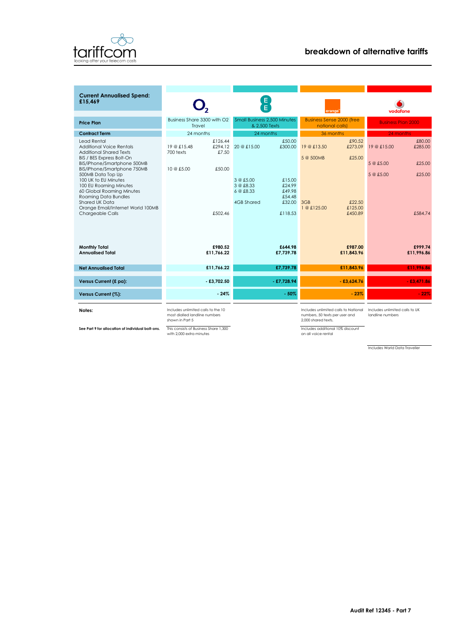

| <b>Current Annualised Spend:</b><br>£15.469                                                                                                                                            |                                                                                                        | E<br>E                                                                                               |                                                                                                                                                          |                                                                           |  |  |
|----------------------------------------------------------------------------------------------------------------------------------------------------------------------------------------|--------------------------------------------------------------------------------------------------------|------------------------------------------------------------------------------------------------------|----------------------------------------------------------------------------------------------------------------------------------------------------------|---------------------------------------------------------------------------|--|--|
|                                                                                                                                                                                        |                                                                                                        |                                                                                                      | orange                                                                                                                                                   | vodafone                                                                  |  |  |
| <b>Price Plan</b>                                                                                                                                                                      | Business Share 3300 with O2<br>Travel                                                                  | <b>Small Business 2.500 Minutes</b><br>& 2.500 Texts                                                 | <b>Business Sense 2000 (free</b><br>national calls)                                                                                                      | <b>Business Plan 2000</b>                                                 |  |  |
| <b>Contract Term</b>                                                                                                                                                                   | 24 months                                                                                              | 24 months                                                                                            | 36 months                                                                                                                                                | 24 months                                                                 |  |  |
| <b>Lead Rental</b><br><b>Additional Voice Rentals</b><br><b>Additional Shared Texts</b><br>BIS / BES Express Bolt-On                                                                   | £126.44<br>£294.12<br>19 @ £15.48<br>£7.50<br>700 texts                                                | £50.00<br>20 @ £15.00<br>£300.00                                                                     | £90.52<br>19 @ £13.50<br>£273.09<br>5 @ 500MB<br>£25.00                                                                                                  | £80.00<br>19 @ £15.00<br>£285.00                                          |  |  |
| BIS/iPhone/Smartphone 500MB<br>BIS/iPhone/Smartphone 750MB                                                                                                                             | 10 @ £5.00<br>£50.00                                                                                   |                                                                                                      |                                                                                                                                                          | 5 @ £5.00<br>£25.00                                                       |  |  |
| 500MB Data Top Up<br>100 UK to EU Minutes<br>100 EU Roaming Minutes<br>60 Global Roaming Minutes<br><b>Roaming Data Bundles</b><br>Shared UK Data<br>Orange Email/Internet World 100MB |                                                                                                        | 3 @ f.5.00<br>£15.00<br>3 @ £8.33<br>£24.99<br>6 @ £8.33<br>£49.98<br>£54.48<br>4GB Shared<br>£32.00 | £22.50<br>3GB<br>1 @ £125.00<br>£125.00                                                                                                                  | £25.00<br>5 @ £5.00                                                       |  |  |
| Chargeable Calls                                                                                                                                                                       | £502.46                                                                                                | £118.53                                                                                              | £450.89                                                                                                                                                  | £584.74                                                                   |  |  |
| <b>Monthly Total</b><br><b>Annualised Total</b>                                                                                                                                        | £980.52<br>£11.766.22                                                                                  | £644.98<br>£7.739.78                                                                                 | £987.00<br>£11.843.96                                                                                                                                    | £999.74<br>£11.996.86                                                     |  |  |
| <b>Net Annualised Total</b>                                                                                                                                                            | £11.766.22                                                                                             | £7,739.78                                                                                            | £11,843.96                                                                                                                                               | £11,996.86                                                                |  |  |
| Versus Current (£ pa):                                                                                                                                                                 | $-$ £3,702.50                                                                                          | $-$ £7,728.94                                                                                        | $-£3,624.76$                                                                                                                                             | $-£3,471.86$                                                              |  |  |
| Versus Current (%):                                                                                                                                                                    | $-24%$                                                                                                 | $-50%$                                                                                               | $-23%$                                                                                                                                                   | $-22%$                                                                    |  |  |
| Notes:                                                                                                                                                                                 | Includes unlimited calls to the 10<br>ومرتبط والمستردين المرتبة المراسين الرائي والمساكلين بالمراس ومد |                                                                                                      | Includes unlimited calls to National<br>according to the department of the state of the state of the state of the state of the state of the state of the | Includes unlimited calls to UK<br>The constitution of the computer of the |  |  |

Includes unlimited calls to the 10 most dialled landline numbers shown in Part 5

**See Part 9 for allocation of individual bolt-ons.** This consists of Business Share 1,300<br>with 2,000 extra minutes

Includes unlimited calls to National numbers, 50 texts per user and 2,000 shared texts.

Includes additional 10% discount on all voice rental

Includes unlimited calls to UK landline numbers

Includes World Data Traveller

L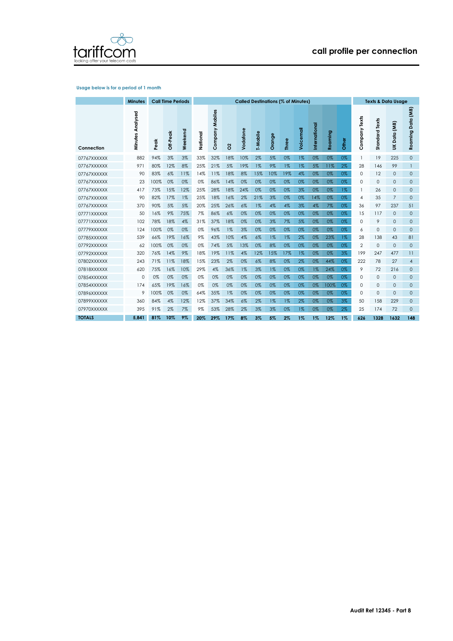

### **Usage below is for a period of 1 month**

|               | <b>Minutes</b>      |      | <b>Call Time Periods</b> |         | <b>Called Destinations (% of Minutes)</b> |                 |       |          |          |        |        |           |              | <b>Texts &amp; Data Usage</b> |       |                 |                |                       |                      |
|---------------|---------------------|------|--------------------------|---------|-------------------------------------------|-----------------|-------|----------|----------|--------|--------|-----------|--------------|-------------------------------|-------|-----------------|----------------|-----------------------|----------------------|
| Connection    | Analysed<br>Minutes | eak  | Off-Peak                 | Weekend | National                                  | Company Mobiles | 8     | Vodafone | T-Mobile | Orange | Φ<br>Ľ | Voicemail | nternational | Roaming                       | Other | Texts<br>ompany | Standard Texts | (aw<br>Data<br>$\leq$ | Data (MB)<br>Roaming |
| 07767XXXXXX   | 882                 | 94%  | 3%                       | 3%      | 33%                                       | 32%             | 18%   | 10%      | 2%       | 5%     | 0%     | $1\%$     | 0%           | 0%                            | 0%    | $\mathbf{1}$    | 19             | 225                   | $\mathbf{O}$         |
| 07767XXXXXX   | 971                 | 80%  | 12%                      | 8%      | 25%                                       | 21%             | 5%    | 19%      | $1\%$    | 9%     | $1\%$  | $1\%$     | 5%           | 11%                           | 2%    | 28              | 146            | 99                    | 1                    |
| 07767XXXXXX   | 90                  | 83%  | 6%                       | 11%     | 14%                                       | 11%             | 18%   | 8%       | 15%      | 10%    | 19%    | 4%        | 0%           | 0%                            | 0%    | 0               | 12             | $\mathbf{0}$          | $\mathbf{0}$         |
| 07767XXXXXX   | 23                  | 100% | 0%                       | 0%      | 0%                                        | 86%             | 14%   | 0%       | 0%       | 0%     | 0%     | 0%        | 0%           | 0%                            | 0%    | 0               | 0              | $\mathbf{0}$          | $\mathbf{0}$         |
| 07767XXXXXX   | 417                 | 73%  | 15%                      | 12%     | 25%                                       | 28%             | 18%   | 24%      | 0%       | 0%     | 0%     | 3%        | 0%           | 0%                            | $1\%$ | $\mathbf{1}$    | 26             | $\mathbf{0}$          | $\mathbf{0}$         |
| 07767XXXXXX   | 90                  | 82%  | 17%                      | $1\%$   | 25%                                       | 18%             | 16%   | 2%       | 21%      | 3%     | 0%     | 0%        | 14%          | 0%                            | 0%    | 4               | 35             | $\overline{7}$        | $\mathbf{0}$         |
| 07767XXXXXX   | 370                 | 90%  | 5%                       | 5%      | 20%                                       | 25%             | 26%   | 6%       | $1\%$    | 4%     | 4%     | 3%        | 4%           | 7%                            | 0%    | 36              | 97             | 237                   | 51                   |
| 07771XXXXXX   | 50                  | 16%  | 9%                       | 75%     | 7%                                        | 86%             | 6%    | 0%       | 0%       | 0%     | 0%     | 0%        | 0%           | 0%                            | 0%    | 15              | 117            | $\mathbf{0}$          | $\mathbf{0}$         |
| 07771XXXXXX   | 102                 | 78%  | 18%                      | 4%      | 31%                                       | 37%             | 18%   | 0%       | 0%       | 3%     | 7%     | 5%        | 0%           | 0%                            | 0%    | 0               | 9              | $\mathbf{0}$          | $\mathbf{0}$         |
| 07779XXXXXX   | 124                 | 100% | 0%                       | 0%      | 0%                                        | 96%             | $1\%$ | 3%       | 0%       | 0%     | 0%     | 0%        | 0%           | 0%                            | 0%    | 6               | 0              | $\mathbf{0}$          | $\mathbf{O}$         |
| 07785XXXXXX   | 539                 | 66%  | 19%                      | 16%     | 9%                                        | 43%             | 10%   | 4%       | $6\%$    | 1%     | $1\%$  | 2%        | 0%           | 23%                           | $1\%$ | 28              | 138            | 43                    | 81                   |
| 07792XXXXXX   | 62                  | 100% | 0%                       | 0%      | 0%                                        | 74%             | 5%    | 13%      | 0%       | 8%     | 0%     | 0%        | 0%           | 0%                            | 0%    | $\overline{2}$  | 0              | $\mathbf{0}$          | $\mathbf{0}$         |
| 07792XXXXXX   | 320                 | 76%  | 14%                      | 9%      | 18%                                       | 19%             | 11%   | 4%       | 12%      | 15%    | 17%    | 1%        | 0%           | 0%                            | $3\%$ | 199             | 247            | 477                   | 11                   |
| 07802XXXXXX   | 243                 | 71%  | 11%                      | 18%     | 15%                                       | 23%             | $2\%$ | 0%       | 6%       | 8%     | 0%     | 2%        | 0%           | 44%                           | 0%    | 222             | 78             | 27                    | $\overline{4}$       |
| 07818XXXXXX   | 620                 | 75%  | 16%                      | 10%     | 29%                                       | 4%              | 36%   | 1%       | 3%       | 1%     | 0%     | 0%        | 1%           | 24%                           | 0%    | 9               | 72             | 216                   | $\mathbf{O}$         |
| 07854XXXXXX   | 0                   | 0%   | 0%                       | 0%      | 0%                                        | 0%              | 0%    | 0%       | 0%       | 0%     | 0%     | 0%        | 0%           | 0%                            | 0%    | 0               | 0              | $\mathbf{0}$          | $\mathbf{0}$         |
| 07854XXXXXX   | 174                 | 65%  | 19%                      | 16%     | 0%                                        | 0%              | 0%    | 0%       | 0%       | 0%     | 0%     | 0%        | 0%           | 100%                          | 0%    | 0               | 0              | $\mathbf{0}$          | $\mathbf{0}$         |
| 07896XXXXXX   | 9                   | 100% | 0%                       | 0%      | 64%                                       | 35%             | 1%    | 0%       | 0%       | 0%     | 0%     | 0%        | 0%           | 0%                            | 0%    | 0               | 0              | $\mathbf{0}$          | $\mathbf{0}$         |
| 07899XXXXXX   | 360                 | 84%  | 4%                       | 12%     | 12%                                       | 37%             | 34%   | 6%       | 2%       | 1%     | $1\%$  | 2%        | 0%           | 0%                            | 3%    | 50              | 158            | 229                   | $\mathbf{0}$         |
| 07970XXXXXX   | 395                 | 91%  | 2%                       | 7%      | 9%                                        | 53%             | 28%   | 2%       | 3%       | 3%     | 0%     | $1\%$     | 0%           | 0%                            | 2%    | 25              | 174            | 72                    | $\mathbf{0}$         |
| <b>TOTALS</b> | 5.841               | 81%  | 10%                      | 9%      | 20%                                       | 29%             | 17%   | 8%       | 3%       | 5%     | 2%     | $1\%$     | $1\%$        | 12%                           | $1\%$ | 626             | 1328           | 1632                  | 148                  |